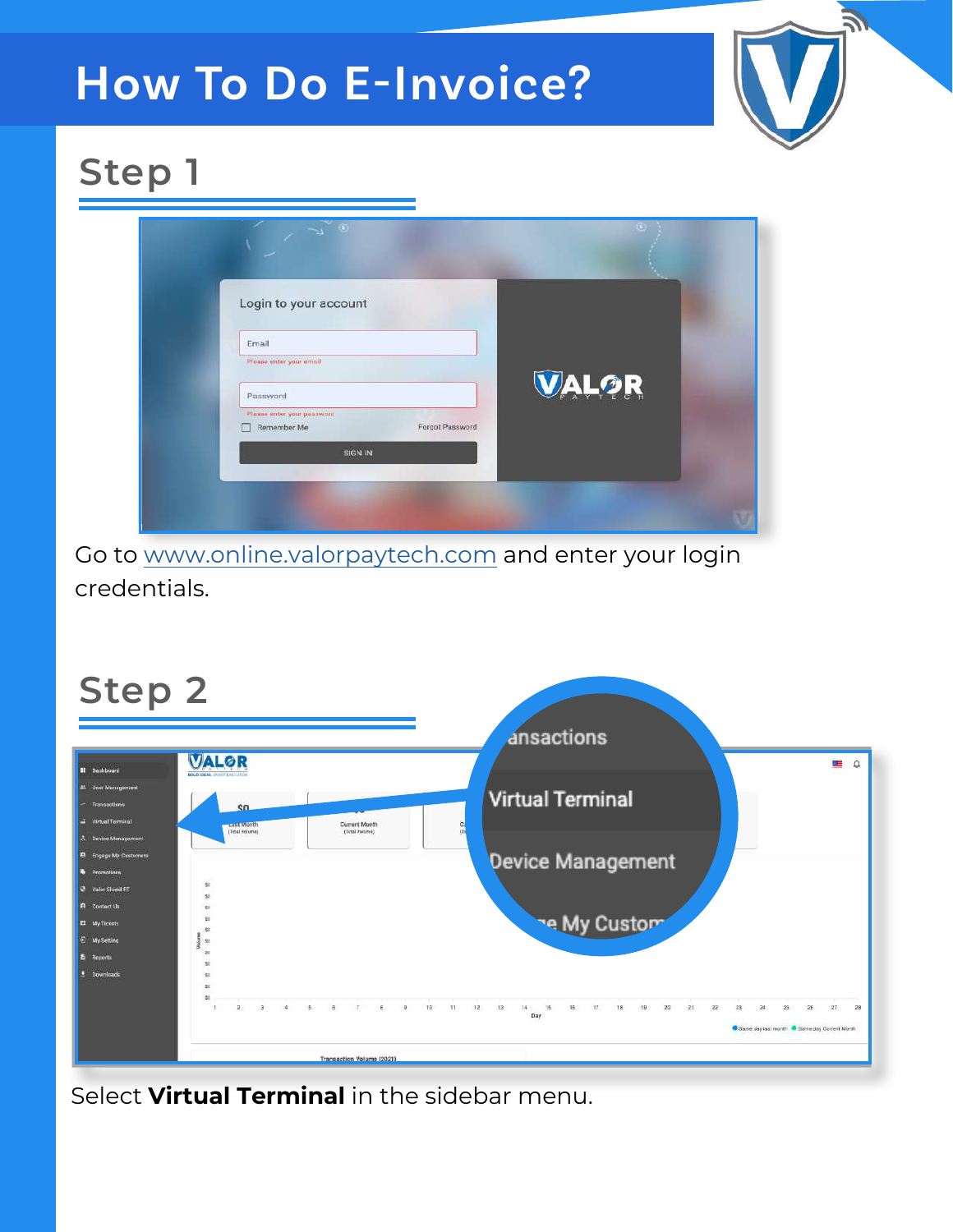# **How To Do E-Invoice?**



## **Step 1**

| Login to your account                                        |              |
|--------------------------------------------------------------|--------------|
| Email                                                        |              |
| Please enter your email                                      |              |
| Password                                                     | <b>VALOR</b> |
| Please enter your password<br>Forgot Password<br>Remember Me |              |

Go t[o www.online.valorpaytech](https://online.valorpaytech.com/signin).com and enter your login credentials.



Select **Virtual Terminal** in the sidebar menu.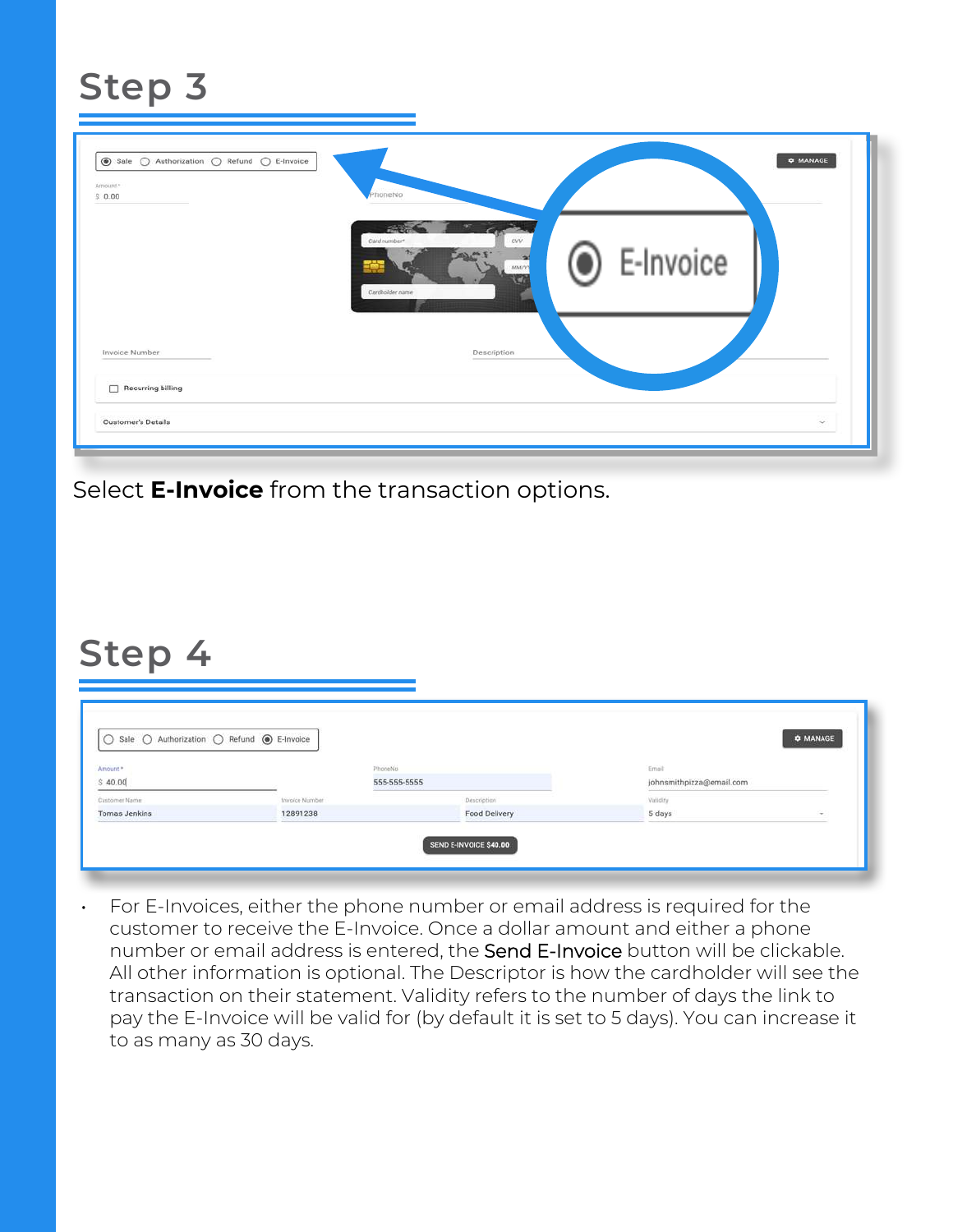#### **Step 3**

| Amount. <sup>*</sup><br>\$0.00 | honeNo                                                                                         |  |
|--------------------------------|------------------------------------------------------------------------------------------------|--|
|                                | 9T<br><b>125</b><br>Card number*<br>ovv<br>C E-Invoice<br>ad<br><b>MMPD</b><br>Cardholder name |  |
| Invoice Number                 | Description                                                                                    |  |
| Recurring billing              |                                                                                                |  |

Select **E-Invoice** from the transaction options.

#### **Step 4**

| Amount.       |                | PhoneNo       | Email                    |        |
|---------------|----------------|---------------|--------------------------|--------|
| \$40.00       |                | 555-555-5555  | johnsmithpizza@email.com |        |
| Customer Name | Invoice Number | Description   | Viriidity                |        |
| Tomas Jenkins | 12891238       | Food Delivery | 5 days                   | $\sim$ |

• For E-Invoices, either the phone number or email address is required for the customer to receive the E-Invoice. Once a dollar amount and either a phone number or email address is entered, the Send E-Invoice button will be clickable. All other information is optional. The Descriptor is how the cardholder will see the transaction on their statement. Validity refers to the number of days the link to pay the E-Invoice will be valid for (by default it is set to 5 days). You can increase it to as many as 30 days.